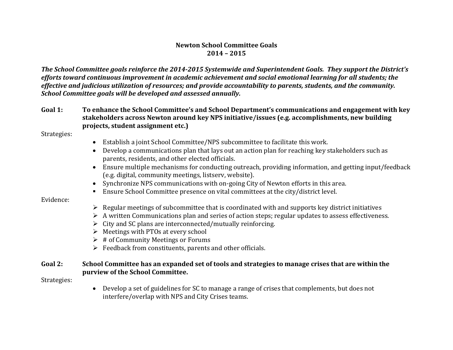#### **Newton School Committee Goals 2014 – 2015**

*The School Committee goals reinforce the 2014-2015 Systemwide and Superintendent Goals. They support the District's efforts toward continuous improvement in academic achievement and social emotional learning for all students; the effective and judicious utilization of resources; and provide accountability to parents, students, and the community. School Committee goals will be developed and assessed annually.*

**Goal 1: To enhance the School Committee's and School Department's communications and engagement with key stakeholders across Newton around key NPS initiative/issues (e.g. accomplishments, new building projects, student assignment etc.)**

Strategies:

- Establish a joint School Committee/NPS subcommittee to facilitate this work.
- Develop a communications plan that lays out an action plan for reaching key stakeholders such as parents, residents, and other elected officials.
- Ensure multiple mechanisms for conducting outreach, providing information, and getting input/feedback (e.g. digital, community meetings, listserv, website).
- Synchronize NPS communications with on-going City of Newton efforts in this area.
- Ensure School Committee presence on vital committees at the city/district level.

#### Evidence:

- $\triangleright$  Regular meetings of subcommittee that is coordinated with and supports key district initiatives
- $\triangleright$  A written Communications plan and series of action steps; regular updates to assess effectiveness.
- $\triangleright$  City and SC plans are interconnected/mutually reinforcing.
- $\triangleright$  Meetings with PTOs at every school
- $\triangleright$  # of Community Meetings or Forums
- $\triangleright$  Feedback from constituents, parents and other officials.

#### **Goal 2: School Committee has an expanded set of tools and strategies to manage crises that are within the purview of the School Committee.**

Strategies:

• Develop a set of guidelines for SC to manage a range of crises that complements, but does not interfere/overlap with NPS and City Crises teams.